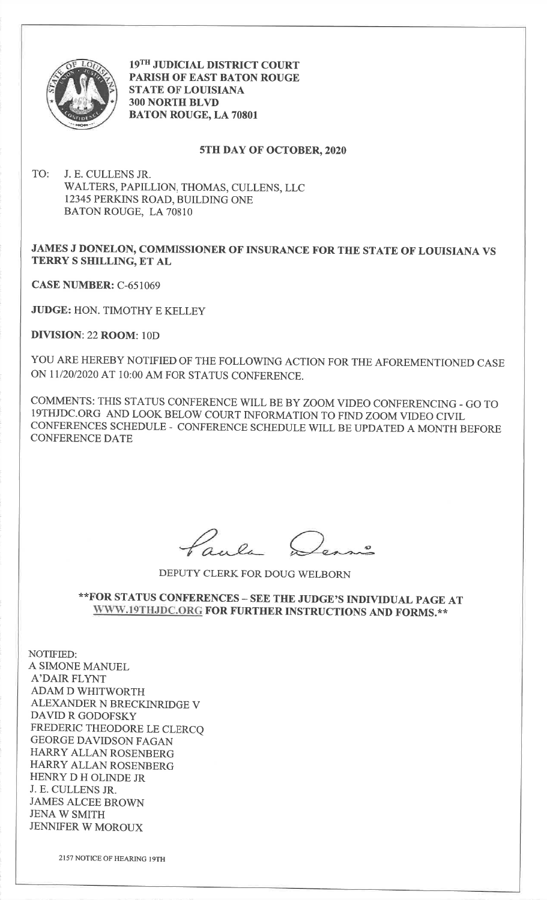

19TH JUDICIAL DISTRICT COURT PARISH OF EAST BATON ROUGESTATE OF LOUSIANA3OO NORTH BLYI)BATON ROUGE, LA 70801

## 5TH DAY OF OCTOBER,2020

TO: J. E. CULLENS JR.WALTERS, PAPILLION, THOMAS, CULLENS, LLC12345 PERKINS ROAD, BUILDING ONEBATON ROUGE, LA 70810

## JAMES J DONELON, COMMISSIONER OF INSURANCE FOR THE STATE OF LOUISIANA VSTERRY S SHILLING, ET AL

CASE NUMBER: C-651069

JUDGE: HON. TIMOTHY E KELLEY

DIVISION: 22 ROOM: 10D

YOU ARE HEREBY NOTIFIED OF THE FOLLOWING ACTION FOR THE AFOREMENTIONED CASEON 11/20/2020 AT 10:00 AM FOR STATUS CONFERENCE.

COMMENTS: THIS STATUS CONFERENCE WILL BE BY ZOOMVIDEO CONFERENCING - Go ToI9THJDC.ORG AND LOOK BELOW COURT INFORMATION TO FIND ZOOMVIDEO CTVIL CONFERENCES SCHEDULE - CONFERENCE SCHEDULE WILL BE UPDATED A MONTH BEFORECONFERENCE DATE

't

DEPUTY CLERK FOR DOUG WELBORN

## \*\*FOR STATUS CONFERENCES \_ SEE THE JUDGE'S INDIVIDUAL PAGE ATWWW.19THJDC.ORG FOR FURTHER INSTRUCTIONS AND FORMS.\*\*

NOTIFIED: A SIMONE MANUELA'DAIR FLYNT ADAM D WHITWORTH ALEXANDER N BRECKINRIDGE VDAVID R GODOFSKY FREDERIC THEODORE LE CLERCQGEORGE DAVIDSON FAGAN HARRY ALLAN ROSENBERG HARRY ALLAN ROSENBERGHENRY D H OLINDE JR J. E. CULLENS JR. JAMES ALCEE BROWNJENA W SMITHJENNIFER W MOROUX

2157 NOTICE OF HEARING I9TH